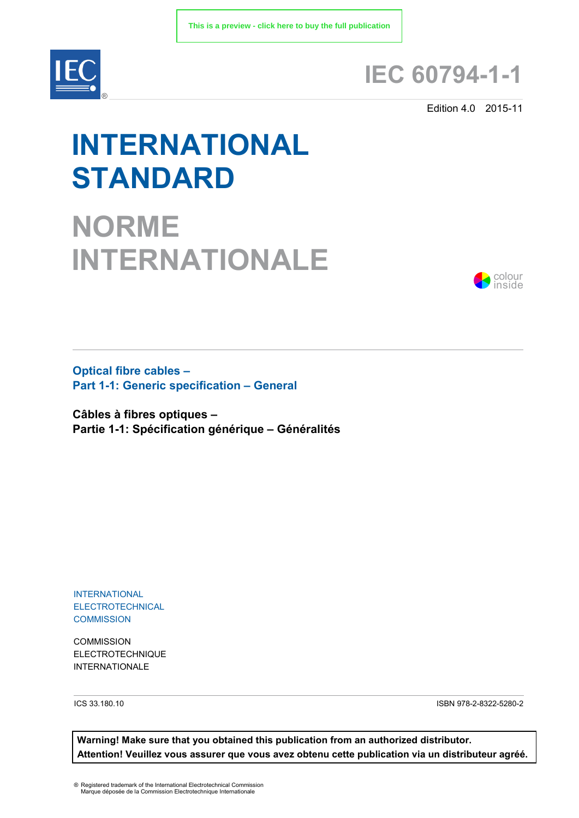

# **IEC 60794-1-1**

Edition 4.0 2015-11

# **INTERNATIONAL STANDARD**

**NORME INTERNATIONALE**



**Optical fibre cables – Part 1-1: Generic specification – General**

**Câbles à fibres optiques – Partie 1-1: Spécification générique – Généralités** 

INTERNATIONAL **ELECTROTECHNICAL COMMISSION** 

**COMMISSION** ELECTROTECHNIQUE INTERNATIONALE

ICS 33.180.10 ISBN 978-2-8322-5280-2

**Warning! Make sure that you obtained this publication from an authorized distributor. Attention! Veuillez vous assurer que vous avez obtenu cette publication via un distributeur agréé.**

® Registered trademark of the International Electrotechnical Commission Marque déposée de la Commission Electrotechnique Internationale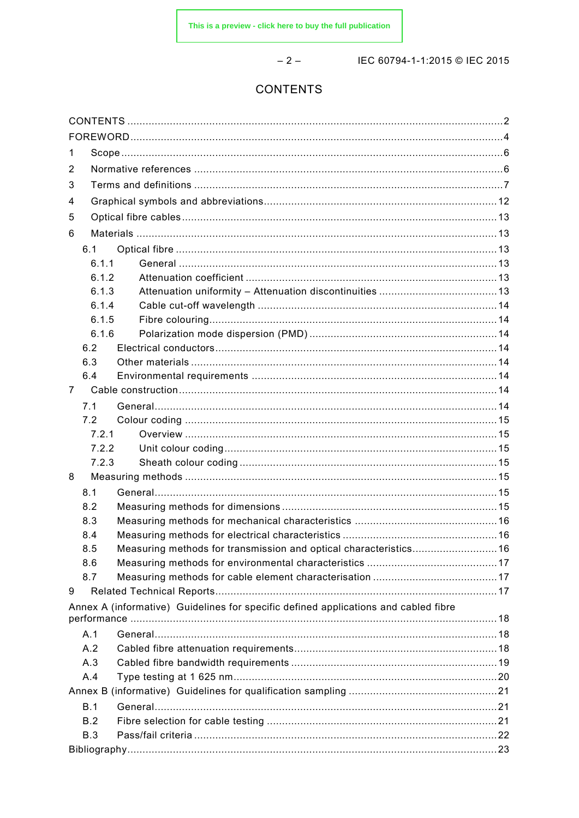$-2-$ 

IEC 60794-1-1:2015 © IEC 2015

# **CONTENTS**

<span id="page-1-0"></span>

| 1              |                                                                                     |  |  |  |
|----------------|-------------------------------------------------------------------------------------|--|--|--|
| 2              |                                                                                     |  |  |  |
| 3              |                                                                                     |  |  |  |
| 4              |                                                                                     |  |  |  |
| 5              |                                                                                     |  |  |  |
| 6              |                                                                                     |  |  |  |
| 6.1            |                                                                                     |  |  |  |
| 6.1.1          |                                                                                     |  |  |  |
| 6.1.2          |                                                                                     |  |  |  |
| 6.1.3          |                                                                                     |  |  |  |
| 6.1.4          |                                                                                     |  |  |  |
| 6.1.5          |                                                                                     |  |  |  |
| 6.1.6          |                                                                                     |  |  |  |
| 6.2            |                                                                                     |  |  |  |
| 6.3            |                                                                                     |  |  |  |
| 6.4            |                                                                                     |  |  |  |
| $\overline{7}$ |                                                                                     |  |  |  |
| 7.1            |                                                                                     |  |  |  |
| 7.2            |                                                                                     |  |  |  |
| 7.2.1          |                                                                                     |  |  |  |
| 7.2.2          |                                                                                     |  |  |  |
| 7.2.3          |                                                                                     |  |  |  |
| 8              |                                                                                     |  |  |  |
| 8.1            |                                                                                     |  |  |  |
| 8.2            |                                                                                     |  |  |  |
| 8.3            |                                                                                     |  |  |  |
| 8.4            |                                                                                     |  |  |  |
| 8.5            | Measuring methods for transmission and optical characteristics16                    |  |  |  |
| 8.6            |                                                                                     |  |  |  |
| 8.7            |                                                                                     |  |  |  |
| 9              |                                                                                     |  |  |  |
|                | Annex A (informative) Guidelines for specific defined applications and cabled fibre |  |  |  |
| A.1            |                                                                                     |  |  |  |
| A.2            |                                                                                     |  |  |  |
| A.3            |                                                                                     |  |  |  |
| A.4            |                                                                                     |  |  |  |
|                |                                                                                     |  |  |  |
| B.1            |                                                                                     |  |  |  |
| B.2            |                                                                                     |  |  |  |
| <b>B.3</b>     |                                                                                     |  |  |  |
|                |                                                                                     |  |  |  |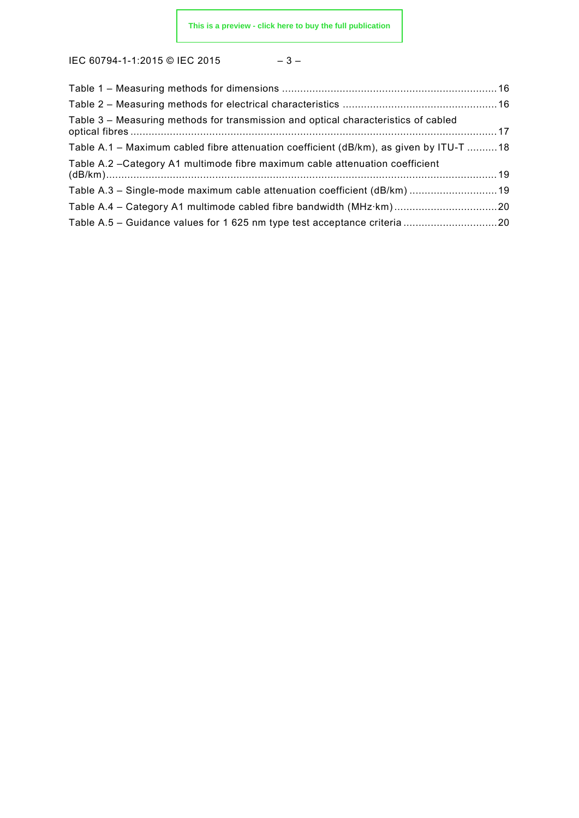IEC 60794-1-1:2015 © IEC 2015 – 3 –

| Table A.1 – Maximum cabled fibre attenuation coefficient (dB/km), as given by ITU-T 18 |
|----------------------------------------------------------------------------------------|
|                                                                                        |
| Table A.3 - Single-mode maximum cable attenuation coefficient (dB/km)  19              |
| Table A.4 - Category A1 multimode cabled fibre bandwidth (MHz·km)20                    |
|                                                                                        |
|                                                                                        |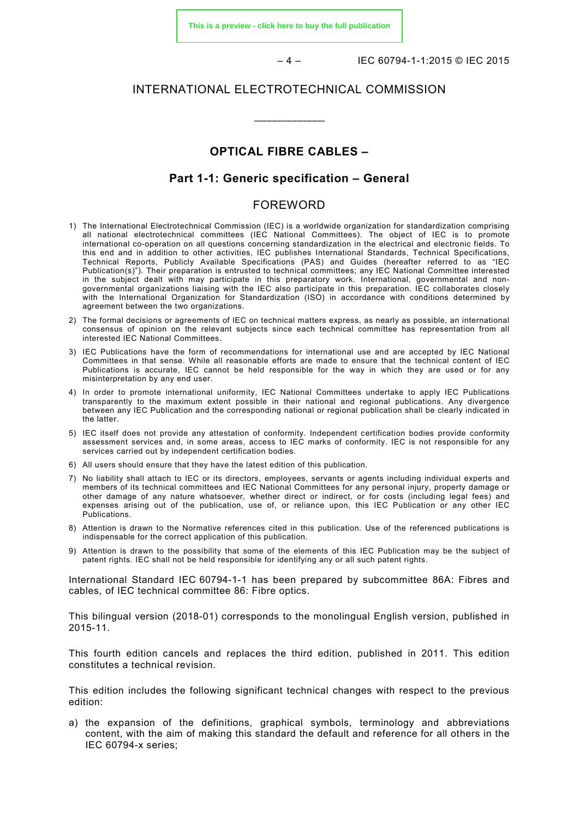**[This is a preview - click here to buy the full publication](https://webstore.iec.ch/publication/23697&preview)**

 $-4 -$  IEC 60794-1-1:2015 © IEC 2015

#### INTERNATIONAL ELECTROTECHNICAL COMMISSION

\_\_\_\_\_\_\_\_\_\_\_\_\_\_

# **OPTICAL FIBRE CABLES –**

# **Part 1-1: Generic specification – General**

#### FOREWORD

- <span id="page-3-0"></span>1) The International Electrotechnical Commission (IEC) is a worldwide organization for standardization comprising all national electrotechnical committees (IEC National Committees). The object of IEC is to promote international co-operation on all questions concerning standardization in the electrical and electronic fields. To this end and in addition to other activities, IEC publishes International Standards, Technical Specifications, Technical Reports, Publicly Available Specifications (PAS) and Guides (hereafter referred to as "IEC Publication(s)"). Their preparation is entrusted to technical committees; any IEC National Committee interested in the subject dealt with may participate in this preparatory work. International, governmental and nongovernmental organizations liaising with the IEC also participate in this preparation. IEC collaborates closely with the International Organization for Standardization (ISO) in accordance with conditions determined by agreement between the two organizations.
- 2) The formal decisions or agreements of IEC on technical matters express, as nearly as possible, an international consensus of opinion on the relevant subjects since each technical committee has representation from all interested IEC National Committees.
- 3) IEC Publications have the form of recommendations for international use and are accepted by IEC National Committees in that sense. While all reasonable efforts are made to ensure that the technical content of IEC Publications is accurate, IEC cannot be held responsible for the way in which they are used or for any misinterpretation by any end user.
- 4) In order to promote international uniformity, IEC National Committees undertake to apply IEC Publications transparently to the maximum extent possible in their national and regional publications. Any divergence between any IEC Publication and the corresponding national or regional publication shall be clearly indicated in the latter.
- 5) IEC itself does not provide any attestation of conformity. Independent certification bodies provide conformity assessment services and, in some areas, access to IEC marks of conformity. IEC is not responsible for any services carried out by independent certification bodies.
- 6) All users should ensure that they have the latest edition of this publication.
- 7) No liability shall attach to IEC or its directors, employees, servants or agents including individual experts and members of its technical committees and IEC National Committees for any personal injury, property damage or other damage of any nature whatsoever, whether direct or indirect, or for costs (including legal fees) and expenses arising out of the publication, use of, or reliance upon, this IEC Publication or any other IEC Publications.
- 8) Attention is drawn to the Normative references cited in this publication. Use of the referenced publications is indispensable for the correct application of this publication.
- 9) Attention is drawn to the possibility that some of the elements of this IEC Publication may be the subject of patent rights. IEC shall not be held responsible for identifying any or all such patent rights.

International Standard IEC 60794-1-1 has been prepared by subcommittee 86A: Fibres and cables, of IEC technical committee 86: Fibre optics.

This bilingual version (2018-01) corresponds to the monolingual English version, published in 2015-11.

This fourth edition cancels and replaces the third edition, published in 2011. This edition constitutes a technical revision.

This edition includes the following significant technical changes with respect to the previous edition:

a) the expansion of the definitions, graphical symbols, terminology and abbreviations content, with the aim of making this standard the default and reference for all others in the IEC 60794-x series;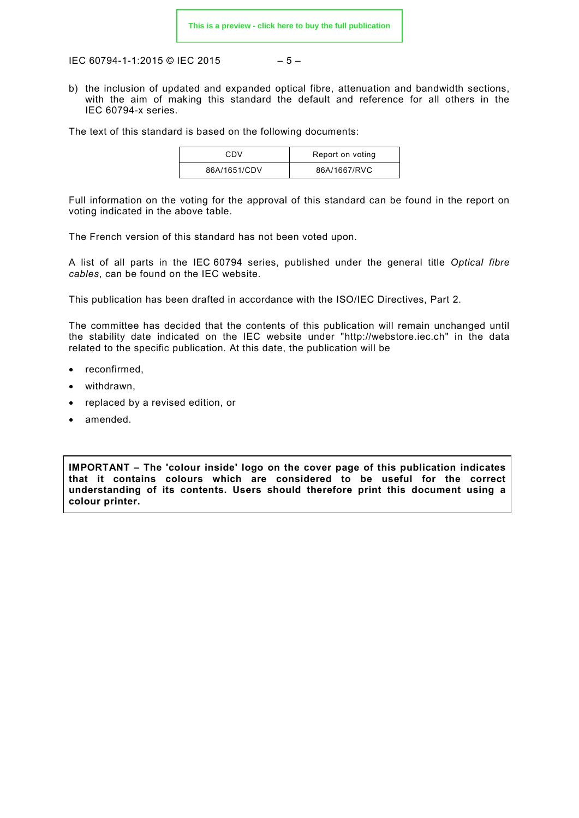IEC 60794-1-1:2015 © IEC 2015 – 5 –

b) the inclusion of updated and expanded optical fibre, attenuation and bandwidth sections, with the aim of making this standard the default and reference for all others in the IEC 60794-x series.

The text of this standard is based on the following documents:

| CDV          | Report on voting |
|--------------|------------------|
| 86A/1651/CDV | 86A/1667/RVC     |

Full information on the voting for the approval of this standard can be found in the report on voting indicated in the above table.

The French version of this standard has not been voted upon.

A list of all parts in the IEC 60794 series, published under the general title *Optical fibre cables*, can be found on the IEC website.

This publication has been drafted in accordance with the ISO/IEC Directives, Part 2.

The committee has decided that the contents of this publication will remain unchanged until the stability date indicated on the IEC website under ["http://webstore.iec.ch"](http://webstore.iec.ch/) in the data related to the specific publication. At this date, the publication will be

- reconfirmed,
- withdrawn,
- replaced by a revised edition, or
- amended.

**IMPORTANT – The 'colour inside' logo on the cover page of this publication indicates that it contains colours which are considered to be useful for the correct understanding of its contents. Users should therefore print this document using a colour printer.**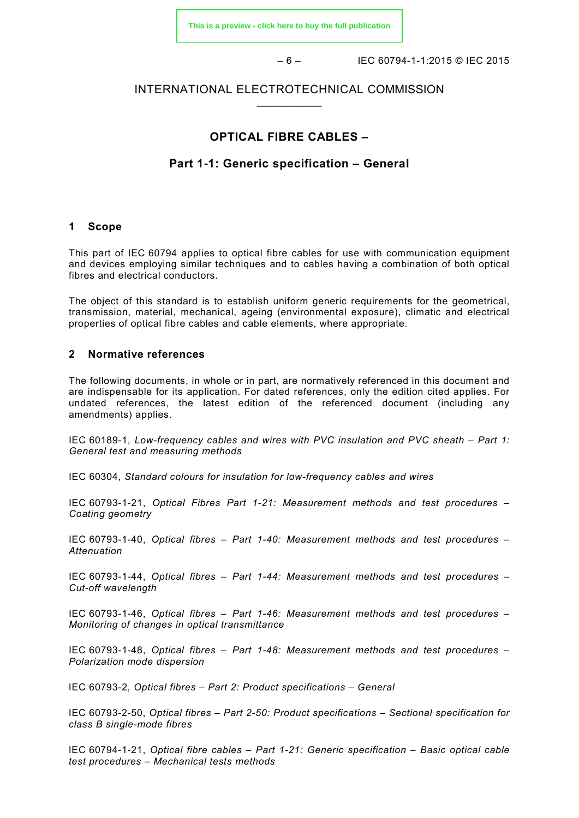**[This is a preview - click here to buy the full publication](https://webstore.iec.ch/publication/23697&preview)**

 $-6 -$  IEC 60794-1-1:2015 © IEC 2015

# INTERNATIONAL ELECTROTECHNICAL COMMISSION **\_\_\_\_\_\_\_\_\_\_\_\_**

# **OPTICAL FIBRE CABLES –**

# **Part 1-1: Generic specification – General**

#### <span id="page-5-0"></span>**1 Scope**

This part of IEC 60794 applies to optical fibre cables for use with communication equipment and devices employing similar techniques and to cables having a combination of both optical fibres and electrical conductors.

The object of this standard is to establish uniform generic requirements for the geometrical, transmission, material, mechanical, ageing (environmental exposure), climatic and electrical properties of optical fibre cables and cable elements, where appropriate.

#### <span id="page-5-1"></span>**2 Normative references**

The following documents, in whole or in part, are normatively referenced in this document and are indispensable for its application. For dated references, only the edition cited applies. For undated references, the latest edition of the referenced document (including any amendments) applies.

IEC 60189-1, *Low-frequency cables and wires with PVC insulation and PVC sheath – Part 1: General test and measuring methods*

IEC 60304, *Standard colours for insulation for low-frequency cables and wires*

IEC 60793-1-21, *Optical Fibres Part 1-21: Measurement methods and test procedures – Coating geometry* 

IEC 60793-1-40, *Optical fibres – Part 1-40: Measurement methods and test procedures – Attenuation*

IEC 60793-1-44, *Optical fibres – Part 1-44: Measurement methods and test procedures – Cut-off wavelength*

IEC 60793-1-46, *Optical fibres – Part 1-46: Measurement methods and test procedures – Monitoring of changes in optical transmittance*

IEC 60793-1-48, *Optical fibres – Part 1-48: Measurement methods and test procedures – Polarization mode dispersion*

IEC 60793-2, *Optical fibres – Part 2: Product specifications – General*

IEC 60793-2-50, *Optical fibres – Part 2-50: Product specifications – Sectional specification for class B single-mode fibres*

IEC 60794-1-21, *Optical fibre cables – Part 1-21: Generic specification – Basic optical cable test procedures – Mechanical tests methods*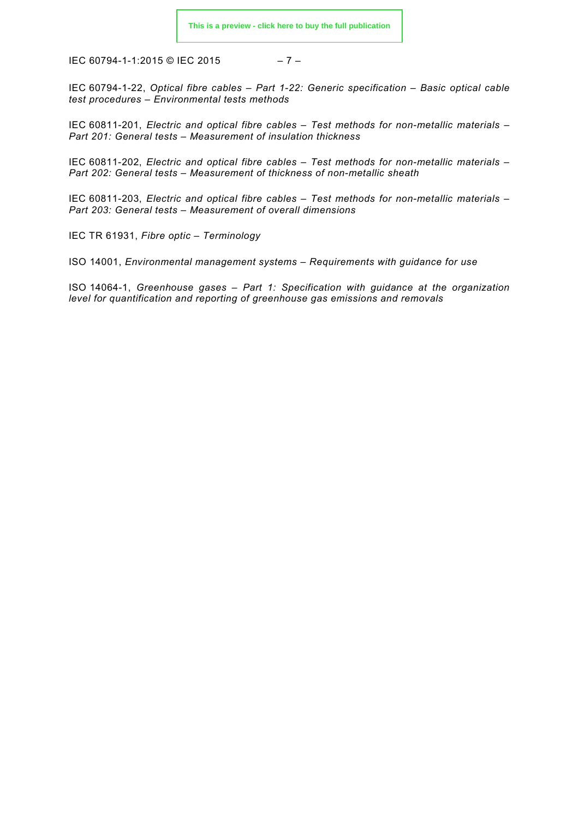IEC 60794-1-1:2015 © IEC 2015 – 7 –

IEC 60794-1-22, *Optical fibre cables – Part 1-22: Generic specification – Basic optical cable test procedures – Environmental tests methods*

IEC 60811-201, *Electric and optical fibre cables – Test methods for non-metallic materials – Part 201: General tests – Measurement of insulation thickness* 

IEC 60811-202, *Electric and optical fibre cables – Test methods for non-metallic materials – Part 202: General tests – Measurement of thickness of non-metallic sheath* 

IEC 60811-203, *Electric and optical fibre cables – Test methods for non-metallic materials – Part 203: General tests – Measurement of overall dimensions* 

IEC TR 61931, *Fibre optic – Terminology*

ISO 14001, *[E](http://www.iso.org/iso/rss.xml?csnumber=31807&rss=detail)nvironmental management systems – Requirements with guidance for use*

<span id="page-6-0"></span>ISO 14064-1, *Greenhouse gases – Part 1: Specification with guidance at the organization level for quantification and reporting of greenhouse gas emissions and removals*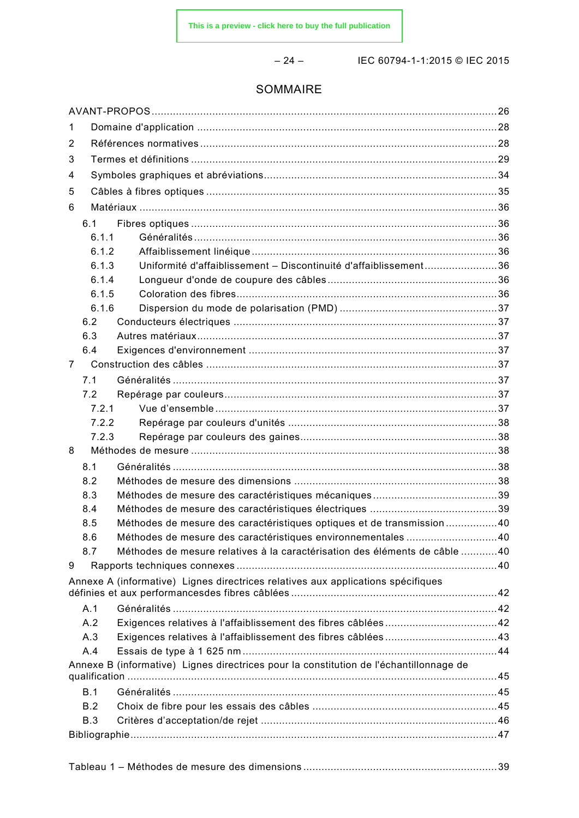– 24 – IEC 60794-1-1:2015 © IEC 2015

# SOMMAIRE

| 1              |            |                                                                                                                                    |  |  |
|----------------|------------|------------------------------------------------------------------------------------------------------------------------------------|--|--|
| 2              |            |                                                                                                                                    |  |  |
| 3              |            |                                                                                                                                    |  |  |
| 4              |            |                                                                                                                                    |  |  |
| 5              |            |                                                                                                                                    |  |  |
| 6              |            |                                                                                                                                    |  |  |
|                | 6.1        |                                                                                                                                    |  |  |
|                | 6.1.1      |                                                                                                                                    |  |  |
|                | 6.1.2      |                                                                                                                                    |  |  |
|                | 6.1.3      | Uniformité d'affaiblissement - Discontinuité d'affaiblissement36                                                                   |  |  |
|                | 6.1.4      |                                                                                                                                    |  |  |
|                | 6.1.5      |                                                                                                                                    |  |  |
|                | 6.1.6      |                                                                                                                                    |  |  |
|                | 6.2        |                                                                                                                                    |  |  |
|                | 6.3        |                                                                                                                                    |  |  |
|                | 6.4        |                                                                                                                                    |  |  |
| $\overline{7}$ |            |                                                                                                                                    |  |  |
|                | 7.1        |                                                                                                                                    |  |  |
|                | 7.2        |                                                                                                                                    |  |  |
|                | 7.2.1      |                                                                                                                                    |  |  |
|                | 7.2.2      |                                                                                                                                    |  |  |
|                | 7.2.3      |                                                                                                                                    |  |  |
| 8              |            |                                                                                                                                    |  |  |
|                | 8.1        |                                                                                                                                    |  |  |
|                | 8.2        |                                                                                                                                    |  |  |
|                | 8.3        |                                                                                                                                    |  |  |
|                | 8.4        |                                                                                                                                    |  |  |
|                | 8.5<br>8.6 | Méthodes de mesure des caractéristiques optiques et de transmission40<br>Méthodes de mesure des caractéristiques environnementales |  |  |
|                | 8.7        | Méthodes de mesure relatives à la caractérisation des éléments de câble 40                                                         |  |  |
| 9              |            |                                                                                                                                    |  |  |
|                |            | Annexe A (informative) Lignes directrices relatives aux applications spécifiques                                                   |  |  |
|                |            |                                                                                                                                    |  |  |
|                | A.1        |                                                                                                                                    |  |  |
|                | A.2        |                                                                                                                                    |  |  |
|                | A.3        |                                                                                                                                    |  |  |
|                | A.4        |                                                                                                                                    |  |  |
|                |            | Annexe B (informative) Lignes directrices pour la constitution de l'échantillonnage de                                             |  |  |
|                |            |                                                                                                                                    |  |  |
|                | B.1        |                                                                                                                                    |  |  |
|                | B.2        |                                                                                                                                    |  |  |
|                | B.3        |                                                                                                                                    |  |  |
|                |            |                                                                                                                                    |  |  |

Tableau 1 – Méthodes de mesure des dimensions ................................................................39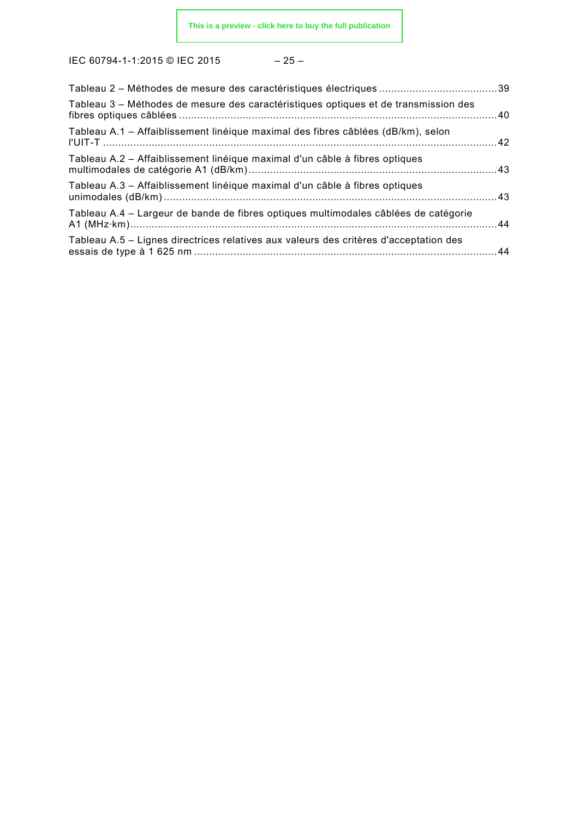IEC 60794-1-1:2015 © IEC 2015 – 25 –

| Tableau 3 – Méthodes de mesure des caractéristiques optiques et de transmission des   |  |
|---------------------------------------------------------------------------------------|--|
| Tableau A.1 – Affaiblissement linéique maximal des fibres câblées (dB/km), selon      |  |
| Tableau A.2 – Affaiblissement linéique maximal d'un câble à fibres optiques           |  |
| Tableau A.3 - Affaiblissement linéique maximal d'un câble à fibres optiques           |  |
| Tableau A.4 – Largeur de bande de fibres optiques multimodales câblées de catégorie   |  |
| Tableau A.5 - Lignes directrices relatives aux valeurs des critères d'acceptation des |  |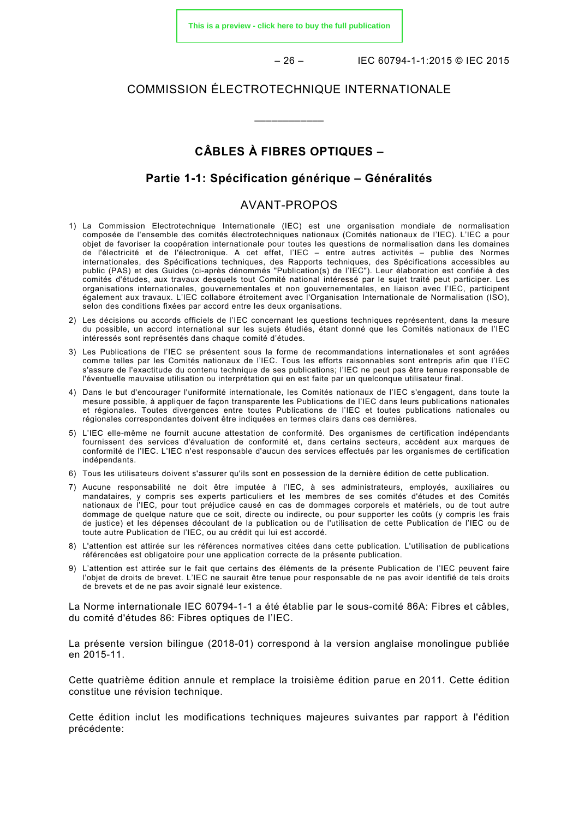**[This is a preview - click here to buy the full publication](https://webstore.iec.ch/publication/23697&preview)**

 $-26 -$  IEC 60794-1-1:2015 © IEC 2015

# COMMISSION ÉLECTROTECHNIQUE INTERNATIONALE

\_\_\_\_\_\_\_\_\_\_\_\_

# **CÂBLES À FIBRES OPTIQUES –**

# **Partie 1-1: Spécification générique – Généralités**

# AVANT-PROPOS

- <span id="page-9-0"></span>1) La Commission Electrotechnique Internationale (IEC) est une organisation mondiale de normalisation composée de l'ensemble des comités électrotechniques nationaux (Comités nationaux de l'IEC). L'IEC a pour objet de favoriser la coopération internationale pour toutes les questions de normalisation dans les domaines de l'électricité et de l'électronique. A cet effet, l'IEC – entre autres activités – publie des Normes internationales, des Spécifications techniques, des Rapports techniques, des Spécifications accessibles au public (PAS) et des Guides (ci-après dénommés "Publication(s) de l'IEC"). Leur élaboration est confiée à des comités d'études, aux travaux desquels tout Comité national intéressé par le sujet traité peut participer. Les organisations internationales, gouvernementales et non gouvernementales, en liaison avec l'IEC, participent également aux travaux. L'IEC collabore étroitement avec l'Organisation Internationale de Normalisation (ISO), selon des conditions fixées par accord entre les deux organisations.
- 2) Les décisions ou accords officiels de l'IEC concernant les questions techniques représentent, dans la mesure du possible, un accord international sur les sujets étudiés, étant donné que les Comités nationaux de l'IEC intéressés sont représentés dans chaque comité d'études.
- 3) Les Publications de l'IEC se présentent sous la forme de recommandations internationales et sont agréées comme telles par les Comités nationaux de l'IEC. Tous les efforts raisonnables sont entrepris afin que l'IEC s'assure de l'exactitude du contenu technique de ses publications; l'IEC ne peut pas être tenue responsable de l'éventuelle mauvaise utilisation ou interprétation qui en est faite par un quelconque utilisateur final.
- 4) Dans le but d'encourager l'uniformité internationale, les Comités nationaux de l'IEC s'engagent, dans toute la mesure possible, à appliquer de façon transparente les Publications de l'IEC dans leurs publications nationales et régionales. Toutes divergences entre toutes Publications de l'IEC et toutes publications nationales ou régionales correspondantes doivent être indiquées en termes clairs dans ces dernières.
- 5) L'IEC elle-même ne fournit aucune attestation de conformité. Des organismes de certification indépendants fournissent des services d'évaluation de conformité et, dans certains secteurs, accèdent aux marques de conformité de l'IEC. L'IEC n'est responsable d'aucun des services effectués par les organismes de certification indépendants.
- 6) Tous les utilisateurs doivent s'assurer qu'ils sont en possession de la dernière édition de cette publication.
- 7) Aucune responsabilité ne doit être imputée à l'IEC, à ses administrateurs, employés, auxiliaires ou mandataires, y compris ses experts particuliers et les membres de ses comités d'études et des Comités nationaux de l'IEC, pour tout préjudice causé en cas de dommages corporels et matériels, ou de tout autre dommage de quelque nature que ce soit, directe ou indirecte, ou pour supporter les coûts (y compris les frais de justice) et les dépenses découlant de la publication ou de l'utilisation de cette Publication de l'IEC ou de toute autre Publication de l'IEC, ou au crédit qui lui est accordé.
- 8) L'attention est attirée sur les références normatives citées dans cette publication. L'utilisation de publications référencées est obligatoire pour une application correcte de la présente publication.
- 9) L'attention est attirée sur le fait que certains des éléments de la présente Publication de l'IEC peuvent faire l'objet de droits de brevet. L'IEC ne saurait être tenue pour responsable de ne pas avoir identifié de tels droits de brevets et de ne pas avoir signalé leur existence.

La Norme internationale IEC 60794-1-1 a été établie par le sous-comité 86A: Fibres et câbles, du comité d'études 86: Fibres optiques de l'IEC.

La présente version bilingue (2018-01) correspond à la version anglaise monolingue publiée en 2015-11.

Cette quatrième édition annule et remplace la troisième édition parue en 2011. Cette édition constitue une révision technique.

Cette édition inclut les modifications techniques majeures suivantes par rapport à l'édition précédente: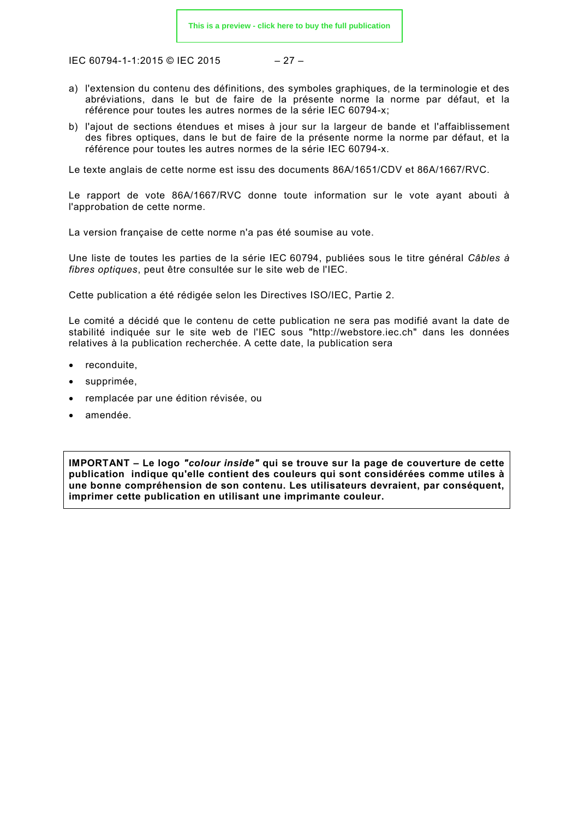IEC 60794-1-1:2015 © IEC 2015

$$
-27-
$$

- a) l'extension du contenu des définitions, des symboles graphiques, de la terminologie et des abréviations, dans le but de faire de la présente norme la norme par défaut, et la référence pour toutes les autres normes de la série IEC 60794-x;
- b) l'ajout de sections étendues et mises à jour sur la largeur de bande et l'affaiblissement des fibres optiques, dans le but de faire de la présente norme la norme par défaut, et la référence pour toutes les autres normes de la série IEC 60794-x.

Le texte anglais de cette norme est issu des documents 86A/1651/CDV et 86A/1667/RVC.

Le rapport de vote 86A/1667/RVC donne toute information sur le vote ayant abouti à l'approbation de cette norme.

La version française de cette norme n'a pas été soumise au vote.

Une liste de toutes les parties de la série IEC 60794, publiées sous le titre général *Câbles à fibres optiques*, peut être consultée sur le site web de l'IEC.

Cette publication a été rédigée selon les Directives ISO/IEC, Partie 2.

Le comité a décidé que le contenu de cette publication ne sera pas modifié avant la date de stabilité indiquée sur le site web de l'IEC sous "http://webstore.iec.ch" dans les données relatives à la publication recherchée. A cette date, la publication sera

- reconduite,
- supprimée.
- remplacée par une édition révisée, ou
- amendée.

**IMPORTANT – Le logo** *"colour inside"* **qui se trouve sur la page de couverture de cette publication indique qu'elle contient des couleurs qui sont considérées comme utiles à une bonne compréhension de son contenu. Les utilisateurs devraient, par conséquent, imprimer cette publication en utilisant une imprimante couleur.**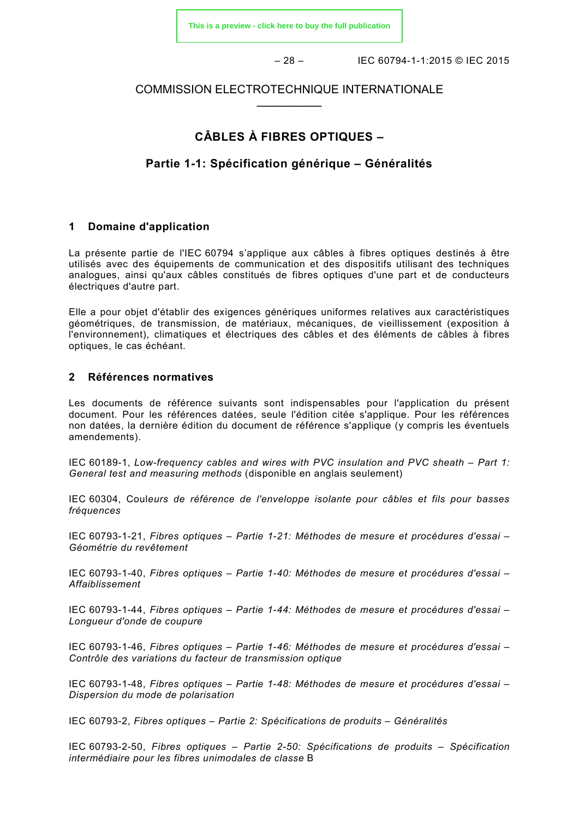$-28 -$  IEC 60794-1-1:2015 © IEC 2015

#### COMMISSION ELECTROTECHNIQUE INTERNATIONALE **\_\_\_\_\_\_\_\_\_\_\_\_**

# **CÂBLES À FIBRES OPTIQUES –**

# **Partie 1-1: Spécification générique – Généralités**

#### <span id="page-11-0"></span>**1 Domaine d'application**

La présente partie de l'IEC 60794 s'applique aux câbles à fibres optiques destinés à être utilisés avec des équipements de communication et des dispositifs utilisant des techniques analogues, ainsi qu'aux câbles constitués de fibres optiques d'une part et de conducteurs électriques d'autre part.

Elle a pour objet d'établir des exigences génériques uniformes relatives aux caractéristiques géométriques, de transmission, de matériaux, mécaniques, de vieillissement (exposition à l'environnement), climatiques et électriques des câbles et des éléments de câbles à fibres optiques, le cas échéant.

# <span id="page-11-1"></span>**2 Références normatives**

Les documents de référence suivants sont indispensables pour l'application du présent document. Pour les références datées, seule l'édition citée s'applique. Pour les références non datées, la dernière édition du document de référence s'applique (y compris les éventuels amendements).

IEC 60189-1, *Low-frequency cables and wires with PVC insulation and PVC sheath – Part 1: General test and measuring methods* (disponible en anglais seulement)

IEC 60304, Coul*eurs de référence de l'enveloppe isolante pour câbles et fils pour basses fréquences*

IEC 60793-1-21, *Fibres optiques – Partie 1-21: Méthodes de mesure et procédures d'essai – Géométrie du revêtement*

IEC 60793-1-40, *Fibres optiques – Partie 1-40: Méthodes de mesure et procédures d'essai – Affaiblissement*

IEC 60793-1-44, *Fibres optiques – Partie 1-44: Méthodes de mesure et procédures d'essai – Longueur d'onde de coupure*

IEC 60793-1-46, *Fibres optiques – Partie 1-46: Méthodes de mesure et procédures d'essai – Contrôle des variations du facteur de transmission optique*

IEC 60793-1-48, *Fibres optiques – Partie 1-48: Méthodes de mesure et procédures d'essai – Dispersion du mode de polarisation*

IEC 60793-2, *Fibres optiques – Partie 2: Spécifications de produits – Généralités*

IEC 60793-2-50, *Fibres optiques – Partie 2-50: Spécifications de produits – Spécification intermédiaire pour les fibres unimodales de classe* B